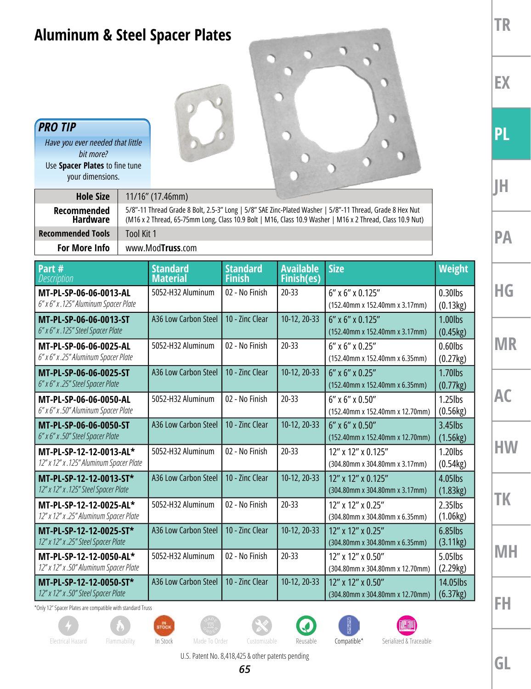## **Aluminum & Steel Spacer Plates**

## *PRO TIP*

*Have you ever needed that little bit more?* Use **Spacer Plates** to fine tune your dimensions.

| <b>Hole Size</b>                                                | $11/16$ " (17.46mm)                                                                                                                                                                                                   |                                    |                                  |                                       |                                                          |                        |  |  |  |  |  |
|-----------------------------------------------------------------|-----------------------------------------------------------------------------------------------------------------------------------------------------------------------------------------------------------------------|------------------------------------|----------------------------------|---------------------------------------|----------------------------------------------------------|------------------------|--|--|--|--|--|
| Recommended<br><b>Hardware</b>                                  | 5/8"-11 Thread Grade 8 Bolt, 2.5-3" Long   5/8" SAE Zinc-Plated Washer   5/8"-11 Thread, Grade 8 Hex Nut<br>(M16 x 2 Thread, 65-75mm Long, Class 10.9 Bolt   M16, Class 10.9 Washer   M16 x 2 Thread, Class 10.9 Nut) |                                    |                                  |                                       |                                                          |                        |  |  |  |  |  |
| <b>Recommended Tools</b>                                        | Tool Kit 1                                                                                                                                                                                                            |                                    |                                  |                                       |                                                          |                        |  |  |  |  |  |
| For More Info                                                   |                                                                                                                                                                                                                       | www.ModTruss.com                   |                                  |                                       |                                                          |                        |  |  |  |  |  |
| Part #<br><b>Description</b>                                    |                                                                                                                                                                                                                       | <b>Standard</b><br><b>Material</b> | <b>Standard</b><br><b>Finish</b> | <b>Available</b><br><b>Finish(es)</b> | <b>Size</b>                                              | Weight                 |  |  |  |  |  |
| MT-PL-SP-06-06-0013-AL<br>6" x 6" x .125" Aluminum Spacer Plate |                                                                                                                                                                                                                       | 5052-H32 Aluminum                  | 02 - No Finish                   | $20 - 33$                             | $6''$ x $6''$ x 0.125"<br>(152.40mm x 152.40mm x 3.17mm) | $0.30$ lbs<br>(0.13kg) |  |  |  |  |  |
| MT-PL-SP-06-06-0013-ST<br>6" x 6" x .125" Steel Spacer Plate    |                                                                                                                                                                                                                       | A36 Low Carbon Steel               | 10 - Zinc Clear                  | 10-12, 20-33                          | $6''$ x $6''$ x 0.125"<br>(152.40mm x 152.40mm x 3.17mm) | 1.00lbs<br>(0.45kg)    |  |  |  |  |  |
| MT-PL-SP-06-06-0025-AL                                          |                                                                                                                                                                                                                       | 5052-H32 Aluminum                  | 02 - No Finish                   | $20 - 33$                             | $6''$ x $6''$ x 0.25"                                    | $0.60$ lbs             |  |  |  |  |  |

| MT-PL-SP-06-06-0025-AL<br>6" x 6" x .25" Aluminum Spacer Plate     | 5052-H32 Aluminum    | 02 - No Finish  | $20 - 33$    | $6''$ x $6''$ x 0.25"<br>(152.40mm x 152.40mm x 6.35mm)  | $0.60$ lbs<br>(0.27kg) |
|--------------------------------------------------------------------|----------------------|-----------------|--------------|----------------------------------------------------------|------------------------|
| MT-PL-SP-06-06-0025-ST<br>6" x 6" x .25" Steel Spacer Plate        | A36 Low Carbon Steel | 10 - Zinc Clear | 10-12, 20-33 | $6''$ x $6''$ x 0.25"<br>(152.40mm x 152.40mm x 6.35mm)  | $1.70$ lbs<br>(0.77kg) |
| MT-PL-SP-06-06-0050-AL<br>6" x 6" x .50" Aluminum Spacer Plate     | 5052-H32 Aluminum    | 02 - No Finish  | $20 - 33$    | $6''$ x $6''$ x 0.50"<br>(152.40mm x 152.40mm x 12.70mm) | $1.25$ lbs<br>(0.56kg) |
| MT-PL-SP-06-06-0050-ST<br>6" x 6" x .50" Steel Spacer Plate        | A36 Low Carbon Steel | 10 - Zinc Clear | 10-12, 20-33 | 6" x 6" x 0.50"<br>(152.40mm x 152.40mm x 12.70mm)       | 3.45lbs<br>(1.56kg)    |
| MT-PL-SP-12-12-0013-AL*<br>12" x 12" x .125" Aluminum Spacer Plate | 5052-H32 Aluminum    | 02 - No Finish  | $20 - 33$    | 12" x 12" x 0.125"<br>(304.80mm x 304.80mm x 3.17mm)     | $1.20$ lbs<br>(0.54kg) |
| MT-PL-SP-12-12-0013-ST*<br>12" x 12" x .125" Steel Spacer Plate    | A36 Low Carbon Steel | 10 - Zinc Clear | 10-12, 20-33 | 12" x 12" x 0.125"<br>(304.80mm x 304.80mm x 3.17mm)     | 4.05lbs<br>(1.83kg)    |
| MT-PL-SP-12-12-0025-AL*<br>12" x 12" x .25" Aluminum Spacer Plate  | 5052-H32 Aluminum    | 02 - No Finish  | $20 - 33$    | 12" x 12" x 0.25"<br>(304.80mm x 304.80mm x 6.35mm)      | $2.35$ lbs<br>(1.06kg) |
| MT-PL-SP-12-12-0025-ST*<br>12" x 12" x .25" Steel Spacer Plate     | A36 Low Carbon Steel | 10 - Zinc Clear | 10-12, 20-33 | 12" x 12" x 0.25"<br>(304.80mm x 304.80mm x 6.35mm)      | $6.85$ lbs<br>(3.11kg) |
| MT-PL-SP-12-12-0050-AL*<br>12" x 12" x .50" Aluminum Spacer Plate  | 5052-H32 Aluminum    | 02 - No Finish  | $20 - 33$    | 12" x 12" x 0.50"<br>(304.80mm x 304.80mm x 12.70mm)     | 5.05lbs<br>(2.29kg)    |
| MT-PL-SP-12-12-0050-ST*<br>12" x 12" x .50" Steel Spacer Plate     | A36 Low Carbon Steel | 10 - Zinc Clear | 10-12, 20-33 | 12" x 12" x 0.50"<br>(304.80mm x 304.80mm x 12.70mm)     | 14.05lbs<br>(6.37kg)   |

\*Only 12" Spacer Plates are compatible with standard Truss











 $\Box$ 

 $\circ$ 

D

D

О





**TR**

**PL**

**JH**

**PA**

**HG**

**MR**

**AC**

**HW**

**TK**

**MH**

**FH**

U.S. Patent No. 8,418,425 & other patents pending

*65*

**GL**